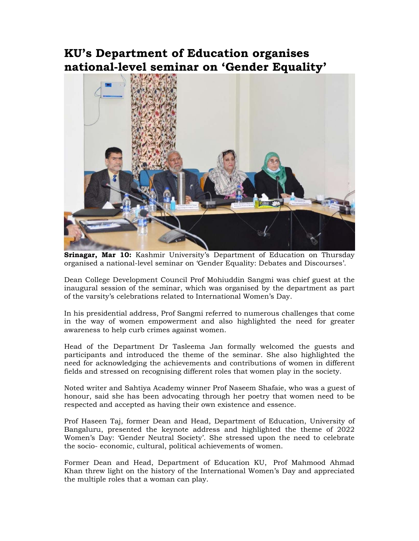## **KU's Department of Education organises national-level seminar on 'Gender Equality'**



**Srinagar, Mar 10:** Kashmir University's Department of Education on Thursday organised a national-level seminar on 'Gender Equality: Debates and Discourses'.

Dean College Development Council Prof Mohiuddin Sangmi was chief guest at the inaugural session of the seminar, which was organised by the department as part of the varsity's celebrations related to International Women's Day.

In his presidential address, Prof Sangmi referred to numerous challenges that come in the way of women empowerment and also highlighted the need for greater awareness to help curb crimes against women.

Head of the Department Dr Tasleema Jan formally welcomed the guests and participants and introduced the theme of the seminar. She also highlighted the need for acknowledging the achievements and contributions of women in different fields and stressed on recognising different roles that women play in the society.

Noted writer and Sahtiya Academy winner Prof Naseem Shafaie, who was a guest of honour, said she has been advocating through her poetry that women need to be respected and accepted as having their own existence and essence.

Prof Haseen Taj, former Dean and Head, Department of Education, University of Bangaluru, presented the keynote address and highlighted the theme of 2022 Women's Day: 'Gender Neutral Society'. She stressed upon the need to celebrate the socio- economic, cultural, political achievements of women.

Former Dean and Head, Department of Education KU, Prof Mahmood Ahmad Khan threw light on the history of the International Women's Day and appreciated the multiple roles that a woman can play.